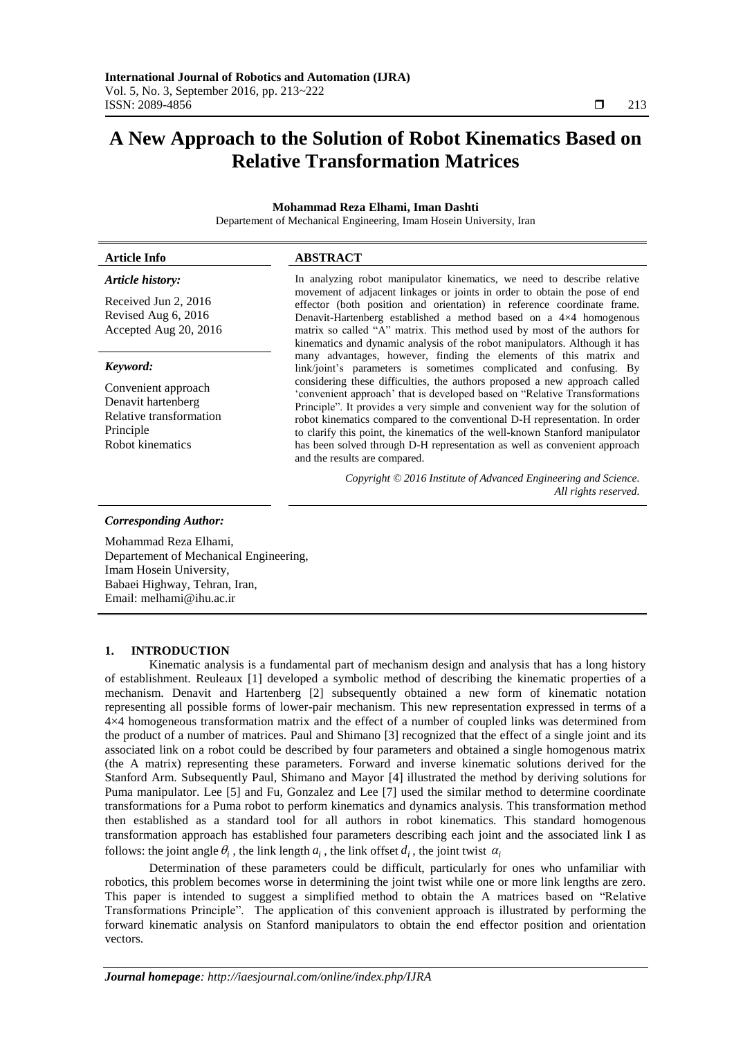# **A New Approach to the Solution of Robot Kinematics Based on Relative Transformation Matrices**

#### **Mohammad Reza Elhami, Iman Dashti** Departement of Mechanical Engineering, Imam Hosein University, Iran

| <b>Article Info</b>                                                                                   | <b>ABSTRACT</b>                                                                                                                                                                                                                                                                                                                                                                                                                                                                                                      |  |  |
|-------------------------------------------------------------------------------------------------------|----------------------------------------------------------------------------------------------------------------------------------------------------------------------------------------------------------------------------------------------------------------------------------------------------------------------------------------------------------------------------------------------------------------------------------------------------------------------------------------------------------------------|--|--|
| Article history:                                                                                      | In analyzing robot manipulator kinematics, we need to describe relative                                                                                                                                                                                                                                                                                                                                                                                                                                              |  |  |
| Received Jun 2, 2016<br>Revised Aug 6, 2016<br>Accepted Aug 20, 2016                                  | movement of adjacent linkages or joints in order to obtain the pose of end<br>effector (both position and orientation) in reference coordinate frame.<br>Denavit-Hartenberg established a method based on a $4\times4$ homogenous<br>matrix so called "A" matrix. This method used by most of the authors for<br>kinematics and dynamic analysis of the robot manipulators. Although it has                                                                                                                          |  |  |
| Keyword:                                                                                              | many advantages, however, finding the elements of this matrix and<br>link/joint's parameters is sometimes complicated and confusing. By                                                                                                                                                                                                                                                                                                                                                                              |  |  |
| Convenient approach<br>Denavit hartenberg<br>Relative transformation<br>Principle<br>Robot kinematics | considering these difficulties, the authors proposed a new approach called<br>'convenient approach' that is developed based on "Relative Transformations<br>Principle". It provides a very simple and convenient way for the solution of<br>robot kinematics compared to the conventional D-H representation. In order<br>to clarify this point, the kinematics of the well-known Stanford manipulator<br>has been solved through D-H representation as well as convenient approach<br>and the results are compared. |  |  |
|                                                                                                       | Copyright © 2016 Institute of Advanced Engineering and Science.<br>All rights reserved.                                                                                                                                                                                                                                                                                                                                                                                                                              |  |  |

#### *Corresponding Author:*

Mohammad Reza Elhami, Departement of Mechanical Engineering, Imam Hosein University, Babaei Highway, Tehran, Iran, Email: melhami@ihu.ac.ir

#### **1. INTRODUCTION**

Kinematic analysis is a fundamental part of mechanism design and analysis that has a long history of establishment. Reuleaux [1] developed a symbolic method of describing the kinematic properties of a mechanism. Denavit and Hartenberg [2] subsequently obtained a new form of kinematic notation representing all possible forms of lower-pair mechanism. This new representation expressed in terms of a 4×4 homogeneous transformation matrix and the effect of a number of coupled links was determined from the product of a number of matrices. Paul and Shimano [3] recognized that the effect of a single joint and its associated link on a robot could be described by four parameters and obtained a single homogenous matrix (the A matrix) representing these parameters. Forward and inverse kinematic solutions derived for the Stanford Arm. Subsequently Paul, Shimano and Mayor [4] illustrated the method by deriving solutions for Puma manipulator. Lee [5] and Fu, Gonzalez and Lee [7] used the similar method to determine coordinate transformations for a Puma robot to perform kinematics and dynamics analysis. This transformation method then established as a standard tool for all authors in robot kinematics. This standard homogenous transformation approach has established four parameters describing each joint and the associated link I as follows: the joint angle  $\theta_i$ , the link length  $a_i$ , the link offset  $d_i$ , the joint twist  $\alpha_i$ 

Determination of these parameters could be difficult, particularly for ones who unfamiliar with robotics, this problem becomes worse in determining the joint twist while one or more link lengths are zero. This paper is intended to suggest a simplified method to obtain the A matrices based on "Relative Transformations Principle". The application of this convenient approach is illustrated by performing the forward kinematic analysis on Stanford manipulators to obtain the end effector position and orientation vectors.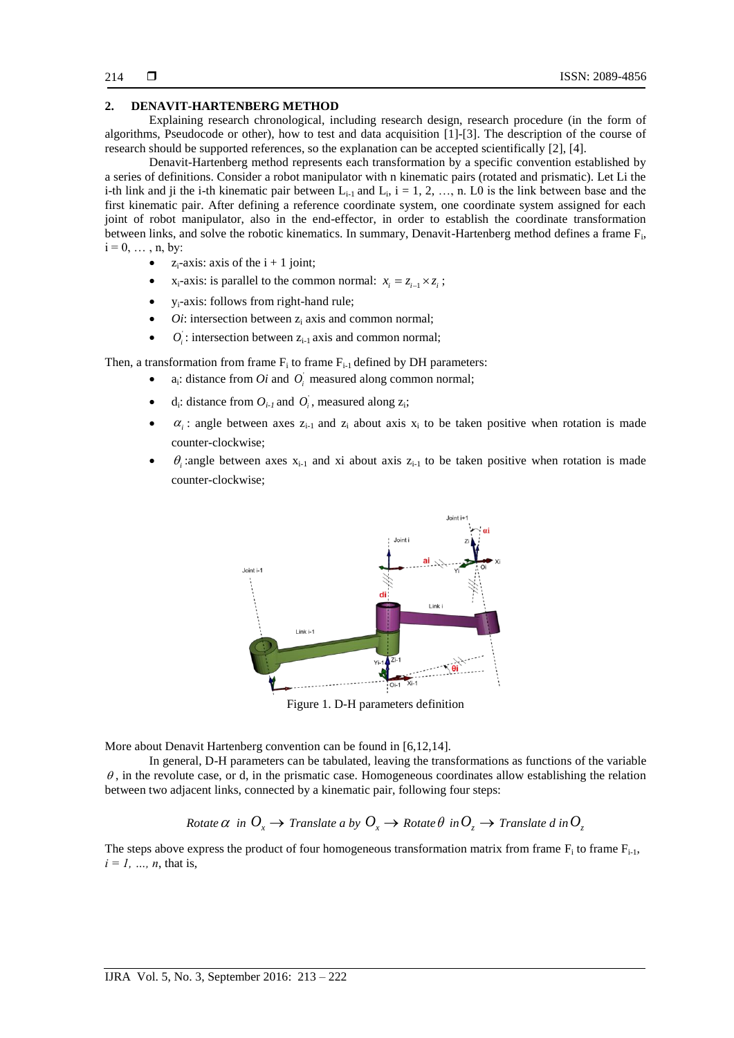## **2. DENAVIT-HARTENBERG METHOD**

Explaining research chronological, including research design, research procedure (in the form of algorithms, Pseudocode or other), how to test and data acquisition [1]-[3]. The description of the course of research should be supported references, so the explanation can be accepted scientifically [2], [4].

Denavit-Hartenberg method represents each transformation by a specific convention established by a series of definitions. Consider a robot manipulator with n kinematic pairs (rotated and prismatic). Let Li the i-th link and ji the i-th kinematic pair between  $L_{i-1}$  and  $L_i$ , i = 1, 2, ..., n. L0 is the link between base and the first kinematic pair. After defining a reference coordinate system, one coordinate system assigned for each joint of robot manipulator, also in the end-effector, in order to establish the coordinate transformation between links, and solve the robotic kinematics. In summary, Denavit-Hartenberg method defines a frame  $F_i$ ,  $i = 0, \ldots, n$ , by:

- $z_i$ -axis: axis of the  $i + 1$  joint;
- $x_i$ -axis: is parallel to the common normal:  $x_i = z_{i-1} \times z_i$ ;
- yi-axis: follows from right-hand rule;
- *Oi*: intersection between z<sub>i</sub> axis and common normal;
- $\bullet$  $O_i$ : intersection between  $z_{i-1}$  axis and common normal;

Then, a transformation from frame  $F_i$  to frame  $F_{i-1}$  defined by DH parameters:

- $a_i$ : distance from *Oi* and  $O_i$  measured along common normal;
- $\bullet$  d<sub>i</sub>: distance from  $O_{i-1}$  and  $O_i$ , measured along  $z_i$ ;
- $\alpha_i$ : angle between axes  $z_{i-1}$  and  $z_i$  about axis  $x_i$  to be taken positive when rotation is made counter-clockwise;
- $\bullet$   $\theta_i$ : angle between axes  $x_{i-1}$  and xi about axis  $z_{i-1}$  to be taken positive when rotation is made counter-clockwise;



Figure 1. D-H parameters definition

More about Denavit Hartenberg convention can be found in [6,12,14].

In general, D-H parameters can be tabulated, leaving the transformations as functions of the variable  $\theta$ , in the revolute case, or d, in the prismatic case. Homogeneous coordinates allow establishing the relation between two adjacent links, connected by a kinematic pair, following four steps:

## $R$ otate  $\alpha$   $\infty$  *in*  $O_{\chi}$  $\rightarrow$  *Translate a by*  $O_{\chi}$  $\rightarrow$  *Rotate*  $\theta$  $\infty$  $O_{\chi}$  $\rightarrow$  *Translate*  $d$  *in*  $O_{\chi}$

The steps above express the product of four homogeneous transformation matrix from frame  $F_i$  to frame  $F_{i-1}$ ,  $i = 1, ..., n$ , that is,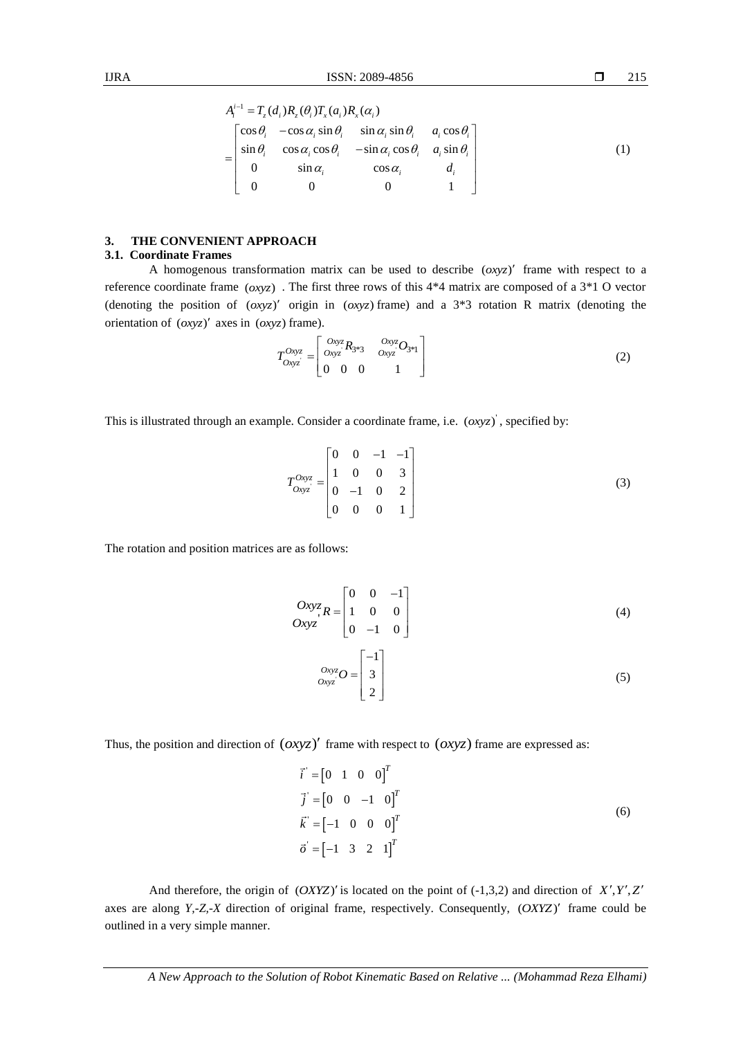1  $(d_i) R_z(\theta_i) T_x(a_i) R_x(\alpha_i)$  $\begin{aligned} \n\mathcal{F}^{-1} &= T_z(d_i)R_z(\theta_i)T_x(a_i)R_x(\alpha_i) \\ \n\begin{bmatrix} \cos\theta_i & -\cos\alpha_i\sin\theta_i & \sin\alpha_i\sin\theta_i & a_i\cos\theta_i \end{bmatrix} \n\end{aligned}$  $\cos \theta_i$   $-\cos \alpha_i \sin \theta_i$   $\sin \alpha_i \sin \theta_i$   $a_i \cos \theta_i$ <br>  $\sin \theta_i$   $\cos \alpha_i \cos \theta_i$   $-\sin \alpha_i \cos \theta_i$   $a_i \sin \theta_i$  $\begin{array}{ccc} \n\ln \theta_i & \cos \alpha_i \cos \theta_i & -\sin \alpha_i \\
0 & \sin \alpha_i & \cos \theta_i\n\end{array}$ 0  $\sin \alpha_i$   $\cos \alpha_i$   $d_i$ <br>0 0 0 1  $A_i^{i-1} = T_z(d_i)R_z(\theta_i)T_x(a_i)R_x(\alpha_i)$ *i*  $\cos \alpha_i \cos \theta_i$   $-\sin \alpha_i \cos \theta_i$   $a_i \sin \theta_i$  $\cos \alpha_i$   $d_i$ *a d*  $\begin{bmatrix} \theta_i & -\cos\alpha_i\sin\theta_i & \sin\alpha_i\sin\theta_i & a_i\cos\theta_i \\ \theta_i & \cos\alpha_i\cos\theta_i & -\sin\alpha_i\cos\theta_i & a_i\sin\theta_i \end{bmatrix}$  $\cos \theta_i$   $-\sin \alpha_i \cos \theta_i$ <br>  $\alpha_i$   $\cos \alpha_i$  $^{-1}$  =  $\begin{bmatrix} \cos \theta_i & -\cos \alpha_i \sin \theta_i & \sin \alpha_i \sin \theta_i & a_i \cos \theta_i \\ \sin \theta_i & \cos \alpha_i \cos \theta_i & -\sin \alpha_i \cos \theta_i & a_i \sin \theta_i \end{bmatrix}$  $=\begin{bmatrix} \cos \theta_i & -\cos \alpha_i \sin \theta_i & \sin \alpha_i \sin \theta_i & a_i \cos \theta_i \\ \sin \theta_i & \cos \alpha_i \cos \theta_i & -\sin \alpha_i \cos \theta_i & a_i \sin \theta_i \\ 0 & \sin \theta_i & 0 \end{bmatrix}$  $\begin{vmatrix} \sin \theta_i & \cos \alpha_i \cos \theta_i & -\sin \alpha_i \cos \theta_i & a_i \sin \theta_i \\ 0 & \sin \alpha_i & \cos \alpha_i & d_i \end{vmatrix}$  $\left[\begin{array}{ccc} 0 & 0 & 0 & 0 \\ 0 & 0 & 0 & 0 \\ 0 & 0 & 0 & 1 \end{array}\right]$ (1)

## **3. THE CONVENIENT APPROACH**

## **3.1. Coordinate Frames**

A homogenous transformation matrix can be used to describe  $(0.00)(x)$  frame with respect to a reference coordinate frame  $(\alpha xyz)$ . The first three rows of this  $4*4$  matrix are composed of a  $3*1$  O vector (denoting the position of  $(0xyz)'$  origin in  $(0xyz)$  frame) and a 3<sup>\*</sup>3 rotation R matrix (denoting the orientation of  $(0xyz)'$  axes in  $(0xyz)$  frame).

$$
T_{Oxyz}^{Oxyz} = \begin{bmatrix} Oxyz & R_{3*3} & Oxyz \\ Oxyz & Oxyz & Oyz \\ 0 & 0 & 0 & 1 \end{bmatrix} \tag{2}
$$

This is illustrated through an example. Consider a coordinate frame, i.e.  $(0xyz)$ , specified by:

$$
T_{Oxyz}^{Oxyz} = \begin{bmatrix} 0 & 0 & -1 & -1 \\ 1 & 0 & 0 & 3 \\ 0 & -1 & 0 & 2 \\ 0 & 0 & 0 & 1 \end{bmatrix}
$$
 (3)

The rotation and position matrices are as follows:

$$
Oxyz_{i}R = \begin{bmatrix} 0 & 0 & -1 \\ 1 & 0 & 0 \\ 0 & -1 & 0 \end{bmatrix}
$$
(4)  

$$
Oxyz_{i}O = \begin{bmatrix} -1 \\ 3 \\ 2 \end{bmatrix}
$$
(5)

Thus, the position and direction of  $(0xyz)'$  frame with respect to  $(0xyz)$  frame are expressed as:

$$
\vec{i} = [0 \ 1 \ 0 \ 0]^T
$$
  

$$
\vec{j} = [0 \ 0 \ -1 \ 0]^T
$$
  

$$
\vec{k} = [-1 \ 0 \ 0 \ 0]^T
$$
  

$$
\vec{o} = [-1 \ 3 \ 2 \ 1]^T
$$
 (6)

And therefore, the origin of  $(OXYZ)'$  is located on the point of  $(-1,3,2)$  and direction of  $X', Y', Z'$ axes are along *Y*,-*Z*,-*X* direction of original frame, respectively. Consequently,  $(OXYZ)'$  frame could be outlined in a very simple manner.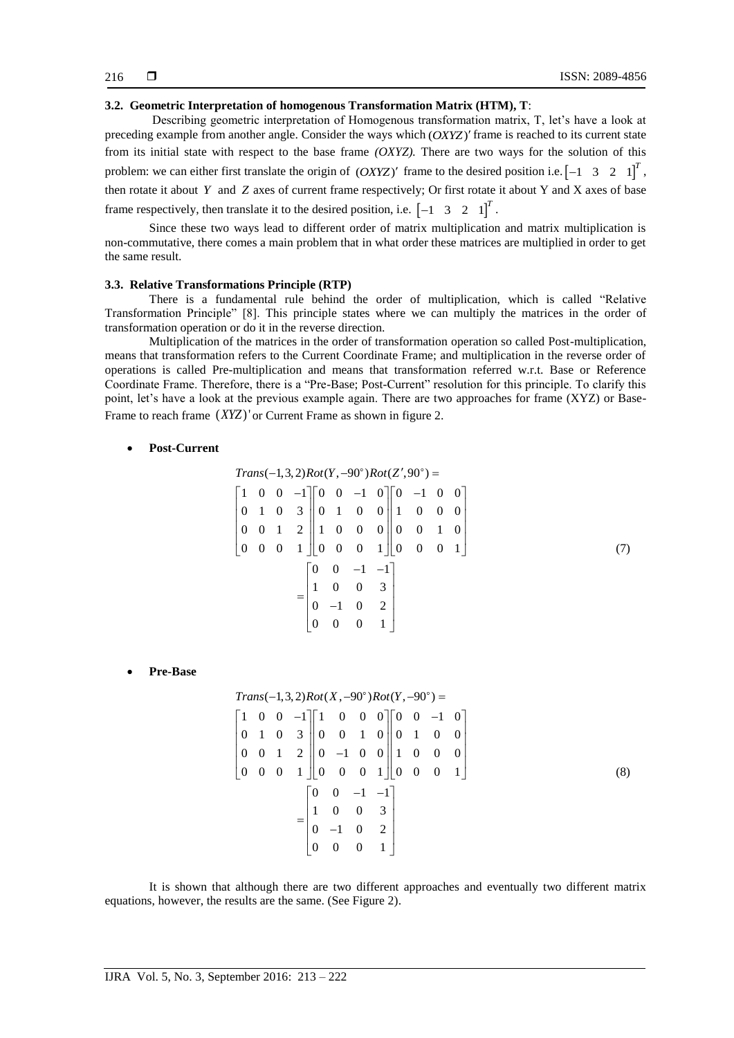## **3.2. Geometric Interpretation of homogenous Transformation Matrix (HTM), T**:

Describing geometric interpretation of Homogenous transformation matrix, T, let's have a look at preceding example from another angle. Consider the ways which (OXYZ)' frame is reached to its current state from its initial state with respect to the base frame *(OXYZ).* There are two ways for the solution of this problem: we can either first translate the origin of  $(OXYZ)'$  frame to the desired position i.e.  $\begin{bmatrix} -1 & 3 & 2 & 1 \end{bmatrix}^T$ , then rotate it about *Y* and *Z* axes of current frame respectively; Or first rotate it about Y and X axes of base frame respectively, then translate it to the desired position, i.e.  $\begin{bmatrix} -1 & 3 & 2 & 1 \end{bmatrix}^T$ .

Since these two ways lead to different order of matrix multiplication and matrix multiplication is non-commutative, there comes a main problem that in what order these matrices are multiplied in order to get the same result.

#### **3.3. Relative Transformations Principle (RTP)**

There is a fundamental rule behind the order of multiplication, which is called "Relative Transformation Principle" [8]. This principle states where we can multiply the matrices in the order of transformation operation or do it in the reverse direction.

Multiplication of the matrices in the order of transformation operation so called Post-multiplication, means that transformation refers to the Current Coordinate Frame; and multiplication in the reverse order of operations is called Pre-multiplication and means that transformation referred w.r.t. Base or Reference Coordinate Frame. Therefore, there is a "Pre-Base; Post-Current" resolution for this principle. To clarify this point, let's have a look at the previous example again. There are two approaches for frame (XYZ) or Base-Frame to reach frame  $(XYZ)$ ' or Current Frame as shown in figure 2.

#### **Post-Current**

$$
Trans(-1,3,2)Rot(Y, -90^{\circ})Rot(Z', 90^{\circ}) =
$$
\n
$$
\begin{bmatrix}\n1 & 0 & 0 & -1 \\
0 & 1 & 0 & 3 \\
0 & 1 & 0 & 3 \\
0 & 0 & 1 & 2\n\end{bmatrix}\n\begin{bmatrix}\n0 & 0 & -1 & 0 \\
0 & 1 & 0 & 0 \\
1 & 0 & 0 & 0 \\
0 & 0 & 0 & 1\n\end{bmatrix}\n\begin{bmatrix}\n0 & -1 & 0 & 0 \\
1 & 0 & 0 & 0 \\
0 & 0 & 1 & 0 \\
0 & 0 & 0 & 1\n\end{bmatrix}
$$
\n
$$
= \begin{bmatrix}\n0 & 0 & -1 & -1 \\
1 & 0 & 0 & 3 \\
0 & -1 & 0 & 2 \\
0 & 0 & 0 & 1\n\end{bmatrix}
$$
\n(7)

**Pre-Base**

$$
Trans(-1,3,2)Rot(X,-90°)Rot(Y,-90°) =
$$
\n
$$
\begin{bmatrix}\n1 & 0 & 0 & -1 \\
0 & 1 & 0 & 3 \\
0 & 0 & 1 & 2 \\
0 & 0 & 0 & 1\n\end{bmatrix}\n\begin{bmatrix}\n1 & 0 & 0 & 0 \\
0 & 0 & 1 & 0 \\
0 & -1 & 0 & 0 \\
0 & 0 & 0 & 1\n\end{bmatrix}\n\begin{bmatrix}\n0 & 0 & -1 & 0 \\
0 & 1 & 0 & 0 \\
1 & 0 & 0 & 0 \\
0 & 0 & 0 & 1\n\end{bmatrix}
$$
\n
$$
= \begin{bmatrix}\n0 & 0 & -1 & -1 \\
1 & 0 & 0 & 3 \\
0 & -1 & 0 & 2 \\
0 & 0 & 0 & 1\n\end{bmatrix}
$$
\n(8)

It is shown that although there are two different approaches and eventually two different matrix equations, however, the results are the same. (See Figure 2).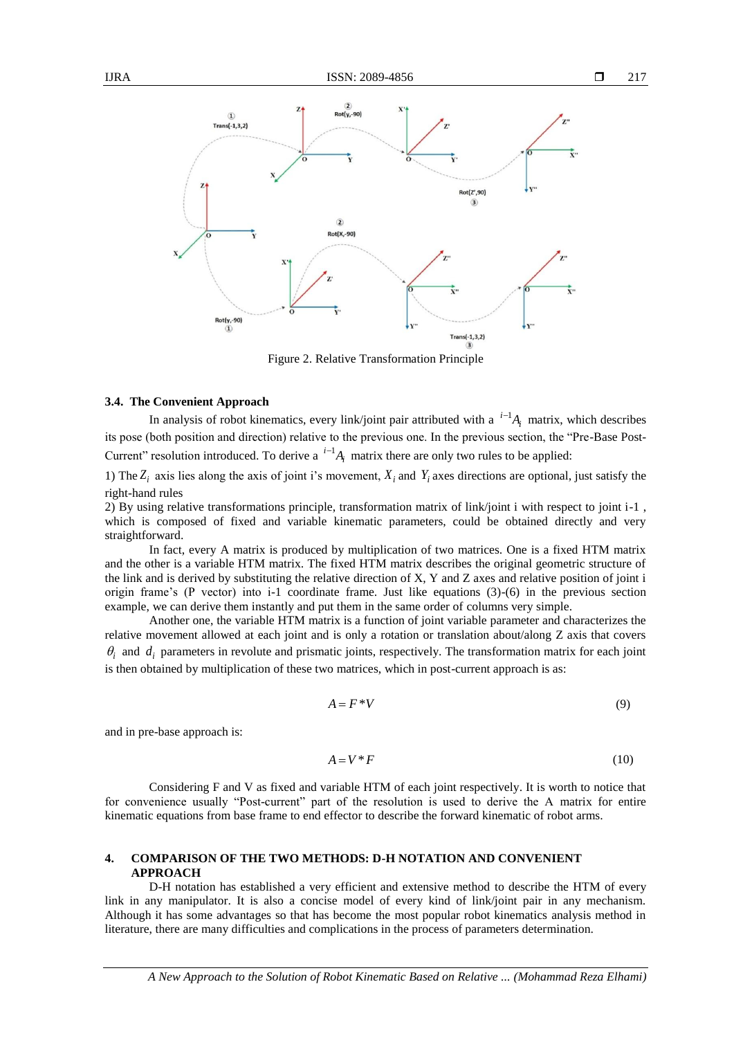

Figure 2. Relative Transformation Principle

## **3.4. The Convenient Approach**

In analysis of robot kinematics, every link/joint pair attributed with a  $^{i-1}A_i$  matrix, which describes its pose (both position and direction) relative to the previous one. In the previous section, the "Pre-Base Post-Current" resolution introduced. To derive a  $i^{-1}A_i$  matrix there are only two rules to be applied:

1) The  $Z_i$  axis lies along the axis of joint i's movement,  $X_i$  and  $Y_i$  axes directions are optional, just satisfy the right-hand rules

2) By using relative transformations principle, transformation matrix of link/joint i with respect to joint i-1 , which is composed of fixed and variable kinematic parameters, could be obtained directly and very straightforward.

In fact, every A matrix is produced by multiplication of two matrices. One is a fixed HTM matrix and the other is a variable HTM matrix. The fixed HTM matrix describes the original geometric structure of the link and is derived by substituting the relative direction of  $X$ ,  $Y$  and  $Z$  axes and relative position of joint i origin frame's (P vector) into i-1 coordinate frame. Just like equations  $(3)-(6)$  in the previous section example, we can derive them instantly and put them in the same order of columns very simple.

Another one, the variable HTM matrix is a function of joint variable parameter and characterizes the relative movement allowed at each joint and is only a rotation or translation about/along Z axis that covers  $\theta_i$  and  $d_i$  parameters in revolute and prismatic joints, respectively. The transformation matrix for each joint is then obtained by multiplication of these two matrices, which in post-current approach is as:

$$
A = F^*V \tag{9}
$$

and in pre-base approach is:

$$
A = V^*F \tag{10}
$$

Considering F and V as fixed and variable HTM of each joint respectively. It is worth to notice that for convenience usually "Post-current" part of the resolution is used to derive the A matrix for entire kinematic equations from base frame to end effector to describe the forward kinematic of robot arms.

## **4. COMPARISON OF THE TWO METHODS: D-H NOTATION AND CONVENIENT APPROACH**

D-H notation has established a very efficient and extensive method to describe the HTM of every link in any manipulator. It is also a concise model of every kind of link/joint pair in any mechanism. Although it has some advantages so that has become the most popular robot kinematics analysis method in literature, there are many difficulties and complications in the process of parameters determination.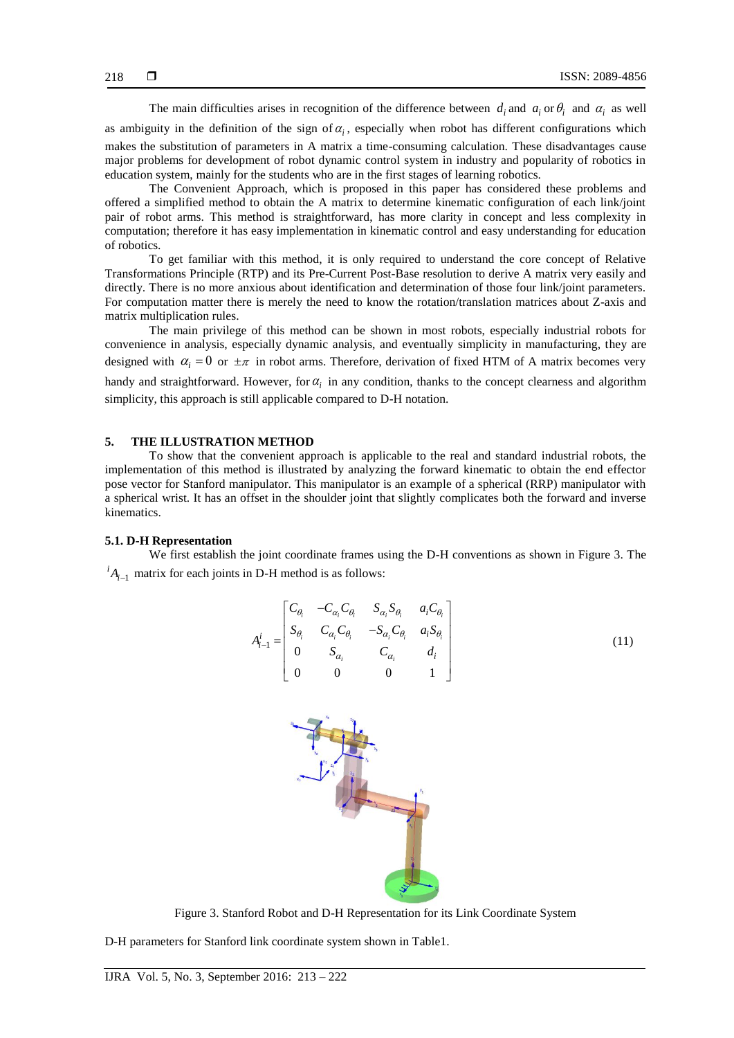The main difficulties arises in recognition of the difference between  $d_i$  and  $a_i$  or  $\theta_i$  and  $\alpha_i$  as well

as ambiguity in the definition of the sign of  $a_i$ , especially when robot has different configurations which makes the substitution of parameters in A matrix a time-consuming calculation. These disadvantages cause major problems for development of robot dynamic control system in industry and popularity of robotics in education system, mainly for the students who are in the first stages of learning robotics.

The Convenient Approach, which is proposed in this paper has considered these problems and offered a simplified method to obtain the A matrix to determine kinematic configuration of each link/joint pair of robot arms. This method is straightforward, has more clarity in concept and less complexity in computation; therefore it has easy implementation in kinematic control and easy understanding for education of robotics.

To get familiar with this method, it is only required to understand the core concept of Relative Transformations Principle (RTP) and its Pre-Current Post-Base resolution to derive A matrix very easily and directly. There is no more anxious about identification and determination of those four link/joint parameters. For computation matter there is merely the need to know the rotation/translation matrices about Z-axis and matrix multiplication rules.

The main privilege of this method can be shown in most robots, especially industrial robots for convenience in analysis, especially dynamic analysis, and eventually simplicity in manufacturing, they are designed with  $\alpha_i = 0$  or  $\pm \pi$  in robot arms. Therefore, derivation of fixed HTM of A matrix becomes very handy and straightforward. However, for  $\alpha_i$  in any condition, thanks to the concept clearness and algorithm simplicity, this approach is still applicable compared to D-H notation.

## **5. THE ILLUSTRATION METHOD**

To show that the convenient approach is applicable to the real and standard industrial robots, the implementation of this method is illustrated by analyzing the forward kinematic to obtain the end effector pose vector for Stanford manipulator. This manipulator is an example of a spherical (RRP) manipulator with a spherical wrist. It has an offset in the shoulder joint that slightly complicates both the forward and inverse kinematics.

## **5.1. D-H Representation**

We first establish the joint coordinate frames using the D-H conventions as shown in Figure 3. The  $^{i}A_{i-1}$  matrix for each joints in D-H method is as follows:

$$
A_{i-1}^{i} = \begin{bmatrix} C_{\theta_{i}} & -C_{\alpha_{i}} C_{\theta_{i}} & S_{\alpha_{i}} S_{\theta_{i}} & a_{i} C_{\theta_{i}} \\ S_{\theta_{i}} & C_{\alpha_{i}} C_{\theta_{i}} & -S_{\alpha_{i}} C_{\theta_{i}} & a_{i} S_{\theta_{i}} \\ 0 & S_{\alpha_{i}} & C_{\alpha_{i}} & d_{i} \\ 0 & 0 & 0 & 1 \end{bmatrix}
$$
(11)



Figure 3. Stanford Robot and D-H Representation for its Link Coordinate System

D-H parameters for Stanford link coordinate system shown in Table1.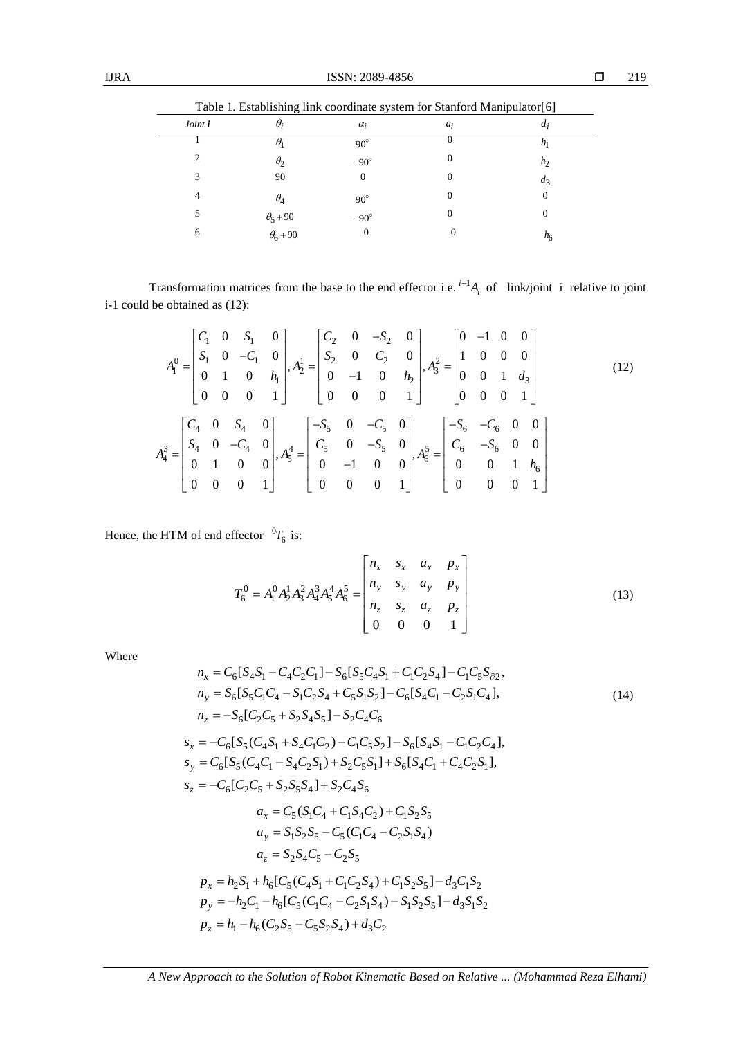| Table 1. Establishing link coordinate system for Stanford Manipulator[6] |                                    |              |          |                  |  |
|--------------------------------------------------------------------------|------------------------------------|--------------|----------|------------------|--|
| Joint i                                                                  | $\theta_i$                         | $\alpha_i$   | $a_i$    | $a_i$            |  |
|                                                                          | $\theta$                           | $90^\circ$   | O        | $n_{\rm l}$      |  |
| C                                                                        | $\theta_2$                         | $-90^\circ$  | $\theta$ | h <sub>2</sub>   |  |
| 3                                                                        | 90                                 | $\Omega$     | 0        | $d_3$            |  |
| 4                                                                        | $\theta_4$                         | $90^{\circ}$ | 0        | 0                |  |
| 5                                                                        |                                    | $-90^\circ$  | $\theta$ | 0                |  |
| 6                                                                        | $\theta_5 + 90$<br>$\theta_6 + 90$ | O            |          | $n_{\mathsf{f}}$ |  |

Transformation matrices from the base to the end effector i.e.  $i^{-1}A_i$  of link/joint i relative to joint i-1 could be obtained as (12):

$$
A_1^0 = \begin{bmatrix} C_1 & 0 & S_1 & 0 \\ S_1 & 0 & -C_1 & 0 \\ 0 & 1 & 0 & h_1 \\ 0 & 0 & 0 & 1 \end{bmatrix}, A_2^1 = \begin{bmatrix} C_2 & 0 & -S_2 & 0 \\ S_2 & 0 & C_2 & 0 \\ 0 & -1 & 0 & h_2 \\ 0 & 0 & 0 & 1 \end{bmatrix}, A_3^2 = \begin{bmatrix} 0 & -1 & 0 & 0 \\ 1 & 0 & 0 & 0 \\ 0 & 0 & 1 & d_3 \\ 0 & 0 & 0 & 1 \end{bmatrix}
$$
(12)  

$$
A_4^3 = \begin{bmatrix} C_4 & 0 & S_4 & 0 \\ S_4 & 0 & -C_4 & 0 \\ 0 & 1 & 0 & 0 \\ 0 & 0 & 0 & 1 \end{bmatrix}, A_5^4 = \begin{bmatrix} -S_5 & 0 & -C_5 & 0 \\ C_5 & 0 & -S_5 & 0 \\ 0 & -1 & 0 & 0 \\ 0 & 0 & 0 & 1 \end{bmatrix}, A_6^5 = \begin{bmatrix} -S_6 & -C_6 & 0 & 0 \\ C_6 & -S_6 & 0 & 0 \\ 0 & 0 & 1 & h_6 \\ 0 & 0 & 0 & 1 \end{bmatrix}
$$

Hence, the HTM of end effector  ${}^{0}T_{6}$  is:

$$
T_6^0 = A_1^0 A_2^1 A_3^2 A_4^3 A_5^4 A_6^5 = \begin{bmatrix} n_x & s_x & a_x & p_x \\ n_y & s_y & a_y & p_y \\ n_z & s_z & a_z & p_z \\ 0 & 0 & 0 & 1 \end{bmatrix}
$$
 (13)

Where

$$
n_x = C_6[S_4S_1 - C_4C_2C_1] - S_6[S_5C_4S_1 + C_1C_2S_4] - C_1C_5S_{\partial 2},
$$
  
\n
$$
n_y = S_6[S_5C_1C_4 - S_1C_2S_4 + C_5S_1S_2] - C_6[S_4C_1 - C_2S_1C_4],
$$
  
\n
$$
n_z = -S_6[C_2C_5 + S_2S_4S_5] - S_2C_4C_6
$$
  
\n
$$
s_x = -C_6[S_5(C_4S_1 + S_4C_1C_2) - C_1C_5S_2] - S_6[S_4S_1 - C_1C_2C_4],
$$
  
\n
$$
s_y = C_6[S_5(C_4C_1 - S_4C_2S_1) + S_2C_5S_1] + S_6[S_4C_1 + C_4C_2S_1],
$$
  
\n
$$
s_z = -C_6[C_2C_5 + S_2S_5S_4] + S_2C_4S_6
$$
  
\n
$$
a_x = C_5(S_1C_4 + C_1S_4C_2) + C_1S_2S_5
$$
  
\n
$$
a_y = S_1S_2S_5 - C_5(C_1C_4 - C_2S_1S_4)
$$
  
\n
$$
a_z = S_2S_4C_5 - C_2S_5
$$
  
\n
$$
p_x = h_2S_1 + h_6[C_5(C_4S_1 + C_1C_2S_4) + C_1S_2S_5] - d_3C_1S_2
$$
  
\n
$$
p_y = -h_2C_1 - h_6[C_5(C_1C_4 - C_2S_1S_4) - S_1S_2S_5] - d_3S_1S_2
$$
  
\n
$$
p_z = h_1 - h_6(C_2S_5 - C_5S_2S_4) + d_3C_2
$$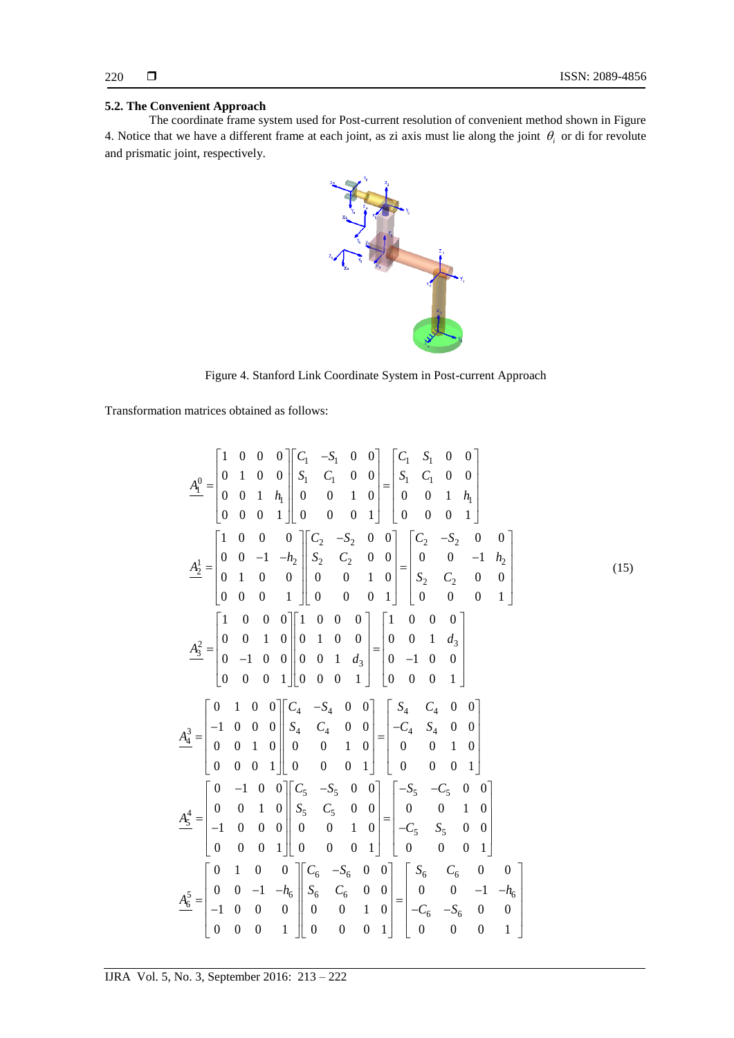## **5.2. The Convenient Approach**

The coordinate frame system used for Post-current resolution of convenient method shown in Figure 4. Notice that we have a different frame at each joint, as zi axis must lie along the joint  $\theta_i$  or di for revolute and prismatic joint, respectively.



Figure 4. Stanford Link Coordinate System in Post-current Approach

Transformation matrices obtained as follows:

$$
\underline{A}_{\underline{1}}^0 = \begin{bmatrix}\n1 & 0 & 0 & 0 \\
0 & 1 & 0 & 0 \\
0 & 0 & 1 & h_1 \\
0 & 0 & 0 & 1\n\end{bmatrix}\n\begin{bmatrix}\nC_1 & -S_1 & 0 & 0 \\
S_1 & C_1 & 0 & 0 \\
0 & 0 & 1 & 0 \\
0 & 0 & 0 & 1\n\end{bmatrix} = \begin{bmatrix}\nC_1 & S_1 & 0 & 0 \\
S_1 & C_1 & 0 & 0 \\
0 & 0 & 1 & h_1 \\
0 & 0 & 0 & 1\n\end{bmatrix}
$$
\n
$$
\underline{A}_{\underline{2}}^1 = \begin{bmatrix}\n1 & 0 & 0 & 0 \\
0 & 0 & -1 & -h_2 \\
0 & 1 & 0 & 0 \\
0 & 0 & 0 & 1\n\end{bmatrix}\n\begin{bmatrix}\nC_2 & -S_2 & 0 & 0 \\
S_2 & C_2 & 0 & 0 \\
0 & 0 & 1 & 0 \\
0 & 0 & 0 & 1\n\end{bmatrix} = \begin{bmatrix}\nC_2 & -S_2 & 0 & 0 \\
S_2 & C_2 & 0 & 0 \\
S_2 & C_2 & 0 & 0 \\
0 & 0 & 0 & 1\n\end{bmatrix}
$$
\n
$$
\underline{A}_{\underline{3}}^2 = \begin{bmatrix}\n1 & 0 & 0 & 0 \\
0 & 0 & 1 & 0 \\
0 & -1 & 0 & 0 \\
0 & 0 & 0 & 1\n\end{bmatrix}\n\begin{bmatrix}\n1 & 0 & 0 & 0 \\
0 & 1 & 0 & 0 \\
0 & 0 & 0 & 1\n\end{bmatrix} = \begin{bmatrix}\n1 & 0 & 0 & 0 \\
0 & 0 & 1 & d_3 \\
0 & -1 & 0 & 0 \\
0 & 0 & 0 & 1\n\end{bmatrix} = \begin{bmatrix}\n1 & 0 & 0 & 0 \\
0 & 0 & 1 & d_3 \\
0 & -1 & 0 & 0 \\
0 & 0 & 0 & 1\n\end{bmatrix}
$$
\n
$$
\underline{A}_{\underline{4}}^3 = \begin{bmatrix}\n0 & 1 & 0 & 0 \\
-1 & 0 & 0 & 0 \\
0 & 0 & 1 & 0 \\
0 & 0 & 0 & 1\n\end{bmatrix}\n\begin{bmatrix}\nC_4 & -S_4 & 0 & 0 \\
S
$$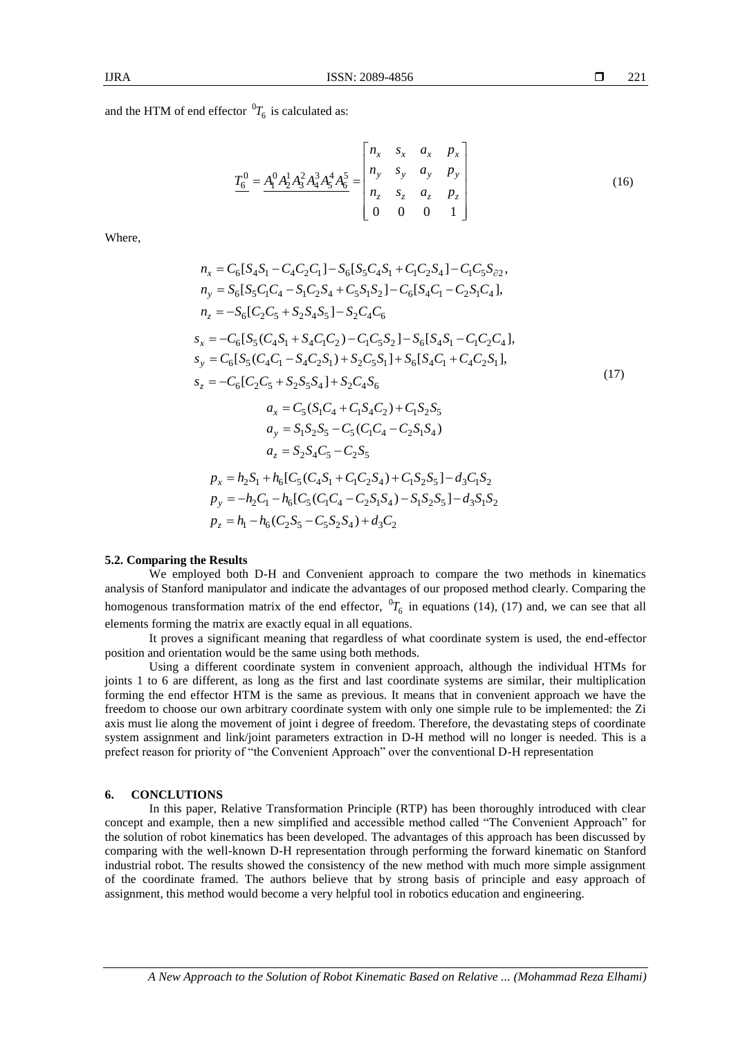and the HTM of end effector  ${}^{0}T_{6}$  is calculated as:

$$
\underline{T_6^0} = \underline{A_1^0 A_2^1 A_3^2 A_4^3 A_5^4 A_6^5} = \begin{bmatrix} n_x & s_x & a_x & p_x \\ n_y & s_y & a_y & p_y \\ n_z & s_z & a_z & p_z \\ 0 & 0 & 0 & 1 \end{bmatrix}
$$
(16)

Where,

$$
n_x = C_6[S_4S_1 - C_4C_2C_1] - S_6[S_5C_4S_1 + C_1C_2S_4] - C_1C_5S_{\partial 2},
$$
  
\n
$$
n_y = S_6[S_5C_1C_4 - S_1C_2S_4 + C_5S_1S_2] - C_6[S_4C_1 - C_2S_1C_4],
$$
  
\n
$$
n_z = -S_6[C_2C_5 + S_2S_4S_5] - S_2C_4C_6
$$
  
\n
$$
s_x = -C_6[S_5(C_4S_1 + S_4C_1C_2) - C_1C_5S_2] - S_6[S_4S_1 - C_1C_2C_4],
$$
  
\n
$$
s_y = C_6[S_5(C_4C_1 - S_4C_2S_1) + S_2C_5S_1] + S_6[S_4C_1 + C_4C_2S_1],
$$
  
\n
$$
s_z = -C_6[C_2C_5 + S_2S_5S_4] + S_2C_4S_6
$$
  
\n
$$
a_x = C_5(S_1C_4 + C_1S_4C_2) + C_1S_2S_5
$$
  
\n
$$
a_y = S_1S_2S_5 - C_5(C_1C_4 - C_2S_1S_4)
$$
  
\n
$$
a_z = S_2S_4C_5 - C_2S_5
$$
  
\n
$$
p_x = h_2S_1 + h_6[C_5(C_4S_1 + C_1C_2S_4) + C_1S_2S_5] - d_3C_1S_2
$$
  
\n
$$
p_y = -h_2C_1 - h_6[C_5(C_1C_4 - C_2S_1S_4) - S_1S_2S_5] - d_3S_1S_2
$$
  
\n
$$
p_z = h_1 - h_6(C_2S_5 - C_5S_2S_4) + d_3C_2
$$

#### **5.2. Comparing the Results**

We employed both D-H and Convenient approach to compare the two methods in kinematics analysis of Stanford manipulator and indicate the advantages of our proposed method clearly. Comparing the homogenous transformation matrix of the end effector,  ${}^{0}T_{6}$  in equations (14), (17) and, we can see that all elements forming the matrix are exactly equal in all equations.

It proves a significant meaning that regardless of what coordinate system is used, the end-effector position and orientation would be the same using both methods.

Using a different coordinate system in convenient approach, although the individual HTMs for joints 1 to 6 are different, as long as the first and last coordinate systems are similar, their multiplication forming the end effector HTM is the same as previous. It means that in convenient approach we have the freedom to choose our own arbitrary coordinate system with only one simple rule to be implemented: the Zi axis must lie along the movement of joint i degree of freedom. Therefore, the devastating steps of coordinate system assignment and link/joint parameters extraction in D-H method will no longer is needed. This is a prefect reason for priority of "the Convenient Approach" over the conventional D-H representation

#### **6. CONCLUTIONS**

In this paper, Relative Transformation Principle (RTP) has been thoroughly introduced with clear concept and example, then a new simplified and accessible method called "The Convenient Approach" for the solution of robot kinematics has been developed. The advantages of this approach has been discussed by comparing with the well-known D-H representation through performing the forward kinematic on Stanford industrial robot. The results showed the consistency of the new method with much more simple assignment of the coordinate framed. The authors believe that by strong basis of principle and easy approach of assignment, this method would become a very helpful tool in robotics education and engineering.